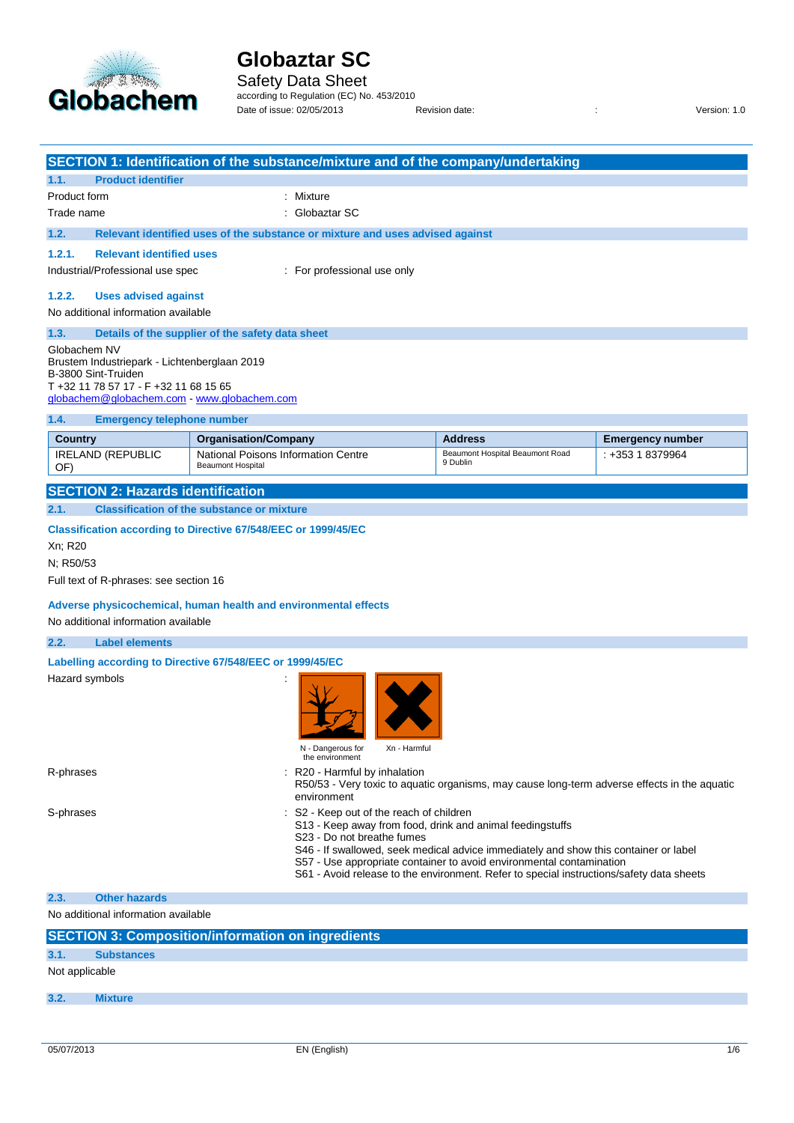

J.

# **Globaztar SC**

#### Safety Data Sheet according to Regulation (EC) No. 453/2010

Date of issue: 02/05/2013 Revision date: <br>
Revision date:  $\frac{1}{2}$  Revision date:

| 1.1.<br><b>Product identifier</b>                                                                                                                                           | SECTION 1: Identification of the substance/mixture and of the company/undertaking                                 |                                                                                                                                                                                                                                                                                                                       |                         |
|-----------------------------------------------------------------------------------------------------------------------------------------------------------------------------|-------------------------------------------------------------------------------------------------------------------|-----------------------------------------------------------------------------------------------------------------------------------------------------------------------------------------------------------------------------------------------------------------------------------------------------------------------|-------------------------|
| Product form                                                                                                                                                                | ÷<br>Mixture                                                                                                      |                                                                                                                                                                                                                                                                                                                       |                         |
| Trade name                                                                                                                                                                  | Globaztar SC                                                                                                      |                                                                                                                                                                                                                                                                                                                       |                         |
|                                                                                                                                                                             |                                                                                                                   |                                                                                                                                                                                                                                                                                                                       |                         |
| 1.2.                                                                                                                                                                        | Relevant identified uses of the substance or mixture and uses advised against                                     |                                                                                                                                                                                                                                                                                                                       |                         |
| 1.2.1.<br><b>Relevant identified uses</b>                                                                                                                                   |                                                                                                                   |                                                                                                                                                                                                                                                                                                                       |                         |
| Industrial/Professional use spec                                                                                                                                            | : For professional use only                                                                                       |                                                                                                                                                                                                                                                                                                                       |                         |
| 1.2.2.<br><b>Uses advised against</b><br>No additional information available                                                                                                |                                                                                                                   |                                                                                                                                                                                                                                                                                                                       |                         |
| 1.3.                                                                                                                                                                        | Details of the supplier of the safety data sheet                                                                  |                                                                                                                                                                                                                                                                                                                       |                         |
| Globachem NV<br>Brustem Industriepark - Lichtenberglaan 2019<br>B-3800 Sint-Truiden<br>T +32 11 78 57 17 - F +32 11 68 15 65<br>globachem@globachem.com - www.globachem.com |                                                                                                                   |                                                                                                                                                                                                                                                                                                                       |                         |
| 1.4.<br><b>Emergency telephone number</b>                                                                                                                                   |                                                                                                                   |                                                                                                                                                                                                                                                                                                                       |                         |
| <b>Country</b>                                                                                                                                                              | <b>Organisation/Company</b>                                                                                       | <b>Address</b>                                                                                                                                                                                                                                                                                                        | <b>Emergency number</b> |
| <b>IRELAND (REPUBLIC</b><br>OF)                                                                                                                                             | National Poisons Information Centre<br><b>Beaumont Hospital</b>                                                   | Beaumont Hospital Beaumont Road<br>9 Dublin                                                                                                                                                                                                                                                                           | $: +35318379964$        |
| <b>SECTION 2: Hazards identification</b>                                                                                                                                    |                                                                                                                   |                                                                                                                                                                                                                                                                                                                       |                         |
| 2.1.                                                                                                                                                                        | <b>Classification of the substance or mixture</b>                                                                 |                                                                                                                                                                                                                                                                                                                       |                         |
| Xn; R20<br>N; R50/53                                                                                                                                                        | <b>Classification according to Directive 67/548/EEC or 1999/45/EC</b>                                             |                                                                                                                                                                                                                                                                                                                       |                         |
| Full text of R-phrases: see section 16                                                                                                                                      |                                                                                                                   |                                                                                                                                                                                                                                                                                                                       |                         |
| No additional information available                                                                                                                                         | Adverse physicochemical, human health and environmental effects                                                   |                                                                                                                                                                                                                                                                                                                       |                         |
| 2.2.<br><b>Label elements</b>                                                                                                                                               |                                                                                                                   |                                                                                                                                                                                                                                                                                                                       |                         |
| Hazard symbols                                                                                                                                                              | Labelling according to Directive 67/548/EEC or 1999/45/EC<br>N - Dangerous for<br>Xn - Harmful<br>the environment |                                                                                                                                                                                                                                                                                                                       |                         |
| R-phrases                                                                                                                                                                   | R20 - Harmful by inhalation<br>environment                                                                        | R50/53 - Very toxic to aquatic organisms, may cause long-term adverse effects in the aquatic                                                                                                                                                                                                                          |                         |
| S-phrases                                                                                                                                                                   | S2 - Keep out of the reach of children<br>S23 - Do not breathe fumes                                              | S13 - Keep away from food, drink and animal feedingstuffs<br>S46 - If swallowed, seek medical advice immediately and show this container or label<br>S57 - Use appropriate container to avoid environmental contamination<br>S61 - Avoid release to the environment. Refer to special instructions/safety data sheets |                         |
| <b>Other hazards</b><br>2.3.                                                                                                                                                |                                                                                                                   |                                                                                                                                                                                                                                                                                                                       |                         |
| No additional information available                                                                                                                                         |                                                                                                                   |                                                                                                                                                                                                                                                                                                                       |                         |
|                                                                                                                                                                             | <b>SECTION 3: Composition/information on ingredients</b>                                                          |                                                                                                                                                                                                                                                                                                                       |                         |
| 3.1.<br><b>Substances</b>                                                                                                                                                   |                                                                                                                   |                                                                                                                                                                                                                                                                                                                       |                         |
| Not applicable                                                                                                                                                              |                                                                                                                   |                                                                                                                                                                                                                                                                                                                       |                         |
| 3.2.<br><b>Mixture</b>                                                                                                                                                      |                                                                                                                   |                                                                                                                                                                                                                                                                                                                       |                         |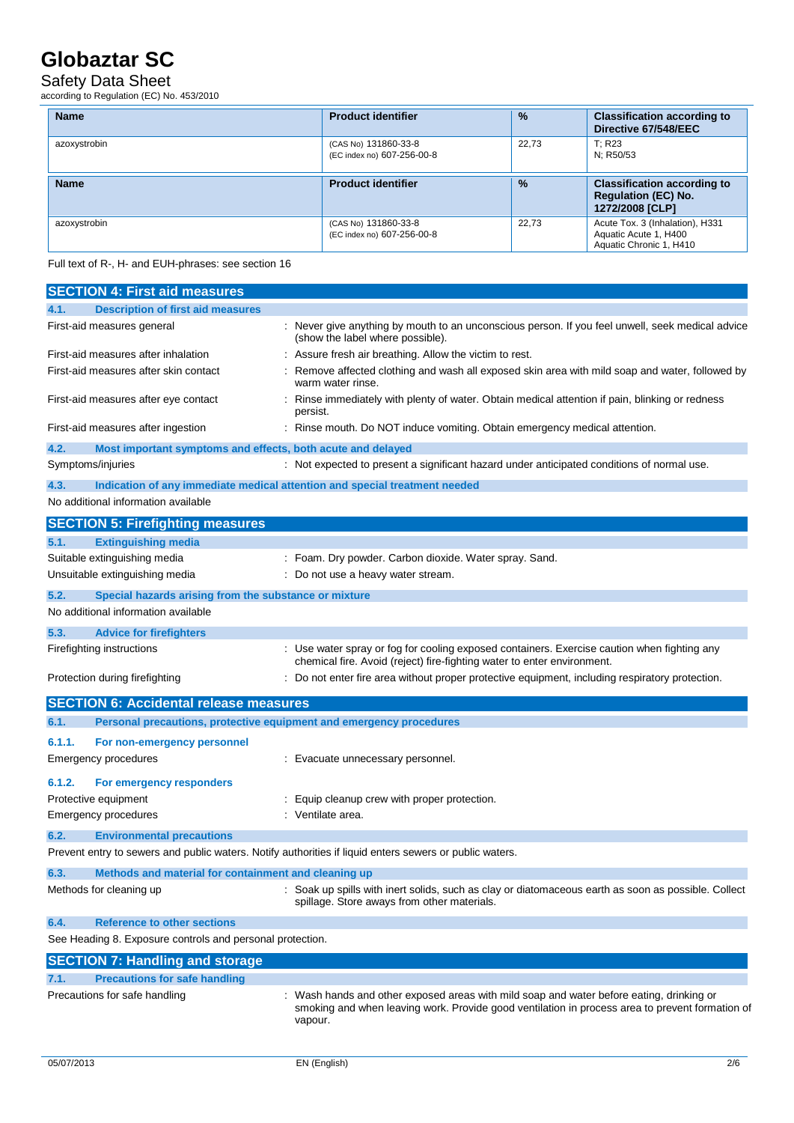### Safety Data Sheet

according to Regulation (EC) No. 453/2010

| <b>Name</b>  | <b>Product identifier</b>                          | $\frac{9}{6}$ | <b>Classification according to</b><br>Directive 67/548/EEC                          |
|--------------|----------------------------------------------------|---------------|-------------------------------------------------------------------------------------|
| azoxystrobin | (CAS No) 131860-33-8<br>(EC index no) 607-256-00-8 | 22.73         | T: R23<br>N; R50/53                                                                 |
| <b>Name</b>  | <b>Product identifier</b>                          | $\frac{9}{6}$ | <b>Classification according to</b><br><b>Regulation (EC) No.</b><br>1272/2008 [CLP] |
| azoxystrobin | (CAS No) 131860-33-8<br>(EC index no) 607-256-00-8 | 22.73         | Acute Tox. 3 (Inhalation), H331<br>Aquatic Acute 1, H400<br>Aquatic Chronic 1, H410 |

Full text of R-, H- and EUH-phrases: see section 16

| <b>SECTION 4: First aid measures</b>                                        |                                                                                                                                                                                                      |
|-----------------------------------------------------------------------------|------------------------------------------------------------------------------------------------------------------------------------------------------------------------------------------------------|
| 4.1.<br><b>Description of first aid measures</b>                            |                                                                                                                                                                                                      |
| First-aid measures general                                                  | Never give anything by mouth to an unconscious person. If you feel unwell, seek medical advice<br>(show the label where possible).                                                                   |
| First-aid measures after inhalation                                         | Assure fresh air breathing. Allow the victim to rest.                                                                                                                                                |
| First-aid measures after skin contact                                       | Remove affected clothing and wash all exposed skin area with mild soap and water, followed by<br>warm water rinse.                                                                                   |
| First-aid measures after eye contact                                        | Rinse immediately with plenty of water. Obtain medical attention if pain, blinking or redness<br>persist.                                                                                            |
| First-aid measures after ingestion                                          | : Rinse mouth. Do NOT induce vomiting. Obtain emergency medical attention.                                                                                                                           |
| 4.2.<br>Most important symptoms and effects, both acute and delayed         |                                                                                                                                                                                                      |
| Symptoms/injuries                                                           | : Not expected to present a significant hazard under anticipated conditions of normal use.                                                                                                           |
| 4.3.                                                                        | Indication of any immediate medical attention and special treatment needed                                                                                                                           |
| No additional information available                                         |                                                                                                                                                                                                      |
| <b>SECTION 5: Firefighting measures</b>                                     |                                                                                                                                                                                                      |
| <b>Extinguishing media</b><br>5.1.                                          |                                                                                                                                                                                                      |
| Suitable extinguishing media                                                | : Foam. Dry powder. Carbon dioxide. Water spray. Sand.                                                                                                                                               |
| Unsuitable extinguishing media                                              | Do not use a heavy water stream.                                                                                                                                                                     |
| 5.2.<br>Special hazards arising from the substance or mixture               |                                                                                                                                                                                                      |
| No additional information available                                         |                                                                                                                                                                                                      |
| 5.3.<br><b>Advice for firefighters</b>                                      |                                                                                                                                                                                                      |
| Firefighting instructions                                                   | : Use water spray or fog for cooling exposed containers. Exercise caution when fighting any<br>chemical fire. Avoid (reject) fire-fighting water to enter environment.                               |
| Protection during firefighting                                              | Do not enter fire area without proper protective equipment, including respiratory protection.                                                                                                        |
| <b>SECTION 6: Accidental release measures</b>                               |                                                                                                                                                                                                      |
| Personal precautions, protective equipment and emergency procedures<br>6.1. |                                                                                                                                                                                                      |
| 6.1.1.<br>For non-emergency personnel                                       |                                                                                                                                                                                                      |
| Emergency procedures                                                        | : Evacuate unnecessary personnel.                                                                                                                                                                    |
| 6.1.2.<br>For emergency responders                                          |                                                                                                                                                                                                      |
| Protective equipment                                                        | Equip cleanup crew with proper protection.                                                                                                                                                           |
| Emergency procedures                                                        | Ventilate area.                                                                                                                                                                                      |
| 6.2.<br><b>Environmental precautions</b>                                    |                                                                                                                                                                                                      |
|                                                                             | Prevent entry to sewers and public waters. Notify authorities if liquid enters sewers or public waters.                                                                                              |
| 6.3.<br>Methods and material for containment and cleaning up                |                                                                                                                                                                                                      |
| Methods for cleaning up                                                     | Soak up spills with inert solids, such as clay or diatomaceous earth as soon as possible. Collect<br>spillage. Store aways from other materials.                                                     |
| <b>Reference to other sections</b><br>6.4.                                  |                                                                                                                                                                                                      |
| See Heading 8. Exposure controls and personal protection.                   |                                                                                                                                                                                                      |
| <b>SECTION 7: Handling and storage</b>                                      |                                                                                                                                                                                                      |
| <b>Precautions for safe handling</b><br>7.1.                                |                                                                                                                                                                                                      |
| Precautions for safe handling                                               | Wash hands and other exposed areas with mild soap and water before eating, drinking or<br>smoking and when leaving work. Provide good ventilation in process area to prevent formation of<br>vapour. |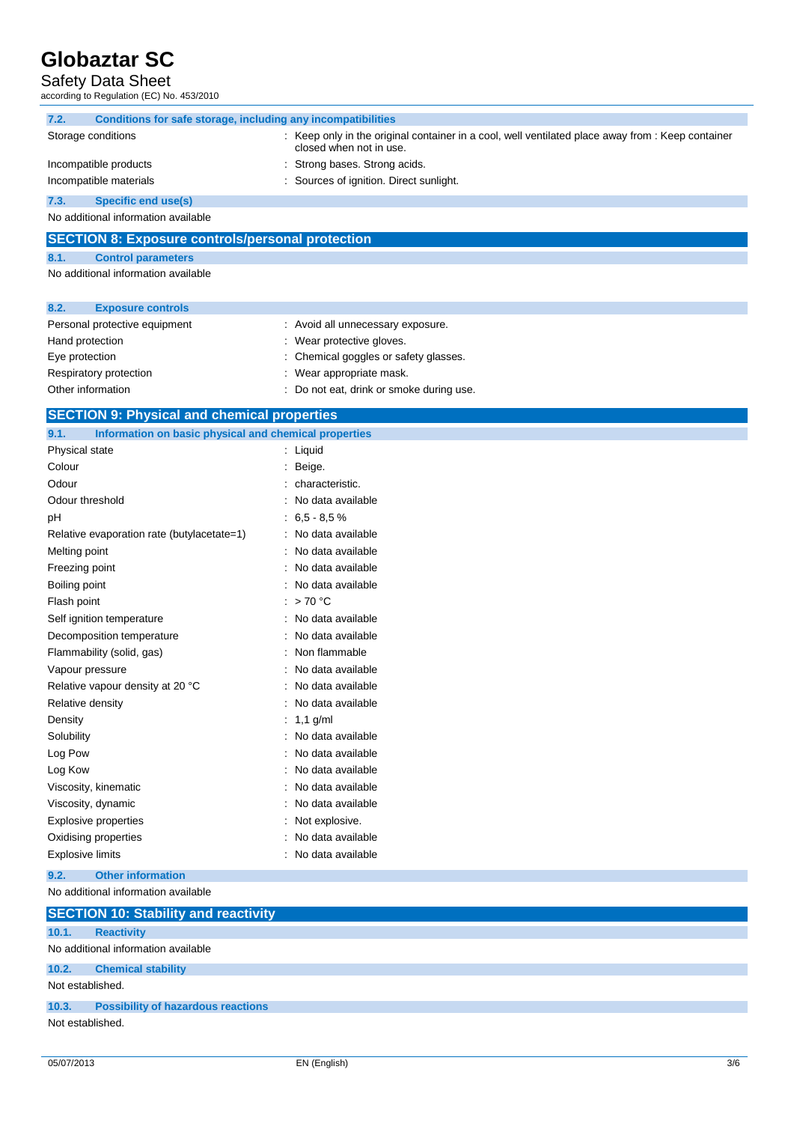### Safety Data Sheet

according to Regulation (EC) No. 453/2010

| 7.2. | Conditions for safe storage, including any incompatibilities |                                                                                                                              |
|------|--------------------------------------------------------------|------------------------------------------------------------------------------------------------------------------------------|
|      | Storage conditions                                           | : Keep only in the original container in a cool, well ventilated place away from : Keep container<br>closed when not in use. |
|      | Incompatible products                                        | : Strong bases. Strong acids.                                                                                                |
|      | Incompatible materials                                       | : Sources of ignition. Direct sunlight.                                                                                      |
| 7.3. | Specific end use(s)                                          |                                                                                                                              |

No additional information available

### **SECTION 8: Exposure controls/personal protection**

#### **8.1. Control parameters**

No additional information available

| 8.2.              | <b>Exposure controls</b>      |                                          |
|-------------------|-------------------------------|------------------------------------------|
|                   | Personal protective equipment | : Avoid all unnecessary exposure.        |
| Hand protection   |                               | : Wear protective gloves.                |
| Eye protection    |                               | : Chemical goggles or safety glasses.    |
|                   | Respiratory protection        | : Wear appropriate mask.                 |
| Other information |                               | : Do not eat, drink or smoke during use. |

#### **SECTION 9: Physical and chemical properties**

| Information on basic physical and chemical properties<br>9.1. |  |                   |
|---------------------------------------------------------------|--|-------------------|
| Physical state                                                |  | Liquid            |
| Colour                                                        |  | Beige.            |
| Odour                                                         |  | characteristic.   |
| Odour threshold                                               |  | No data available |
| рH                                                            |  | $6.5 - 8.5%$      |
| Relative evaporation rate (butylacetate=1)                    |  | No data available |
| Melting point                                                 |  | No data available |
| Freezing point                                                |  | No data available |
| Boiling point                                                 |  | No data available |
| Flash point                                                   |  | $>70^{\circ}$ C   |
| Self ignition temperature                                     |  | No data available |
| Decomposition temperature                                     |  | No data available |
| Flammability (solid, gas)                                     |  | Non flammable     |
| Vapour pressure                                               |  | No data available |
| Relative vapour density at 20 °C                              |  | No data available |
| Relative density                                              |  | No data available |
| Density                                                       |  | $1,1$ g/ml        |
| Solubility                                                    |  | No data available |
| Log Pow                                                       |  | No data available |
| Log Kow                                                       |  | No data available |
| Viscosity, kinematic                                          |  | No data available |
| Viscosity, dynamic                                            |  | No data available |
| Explosive properties                                          |  | Not explosive.    |
| Oxidising properties                                          |  | No data available |
| <b>Explosive limits</b>                                       |  | No data available |

#### **9.2. Other information**

No additional information available

|                  | <b>SECTION 10: Stability and reactivity</b> |
|------------------|---------------------------------------------|
| 10.1.            | <b>Reactivity</b>                           |
|                  | No additional information available         |
| 10.2.            | <b>Chemical stability</b>                   |
| Not established. |                                             |
| 10.3.            | <b>Possibility of hazardous reactions</b>   |
| Not established. |                                             |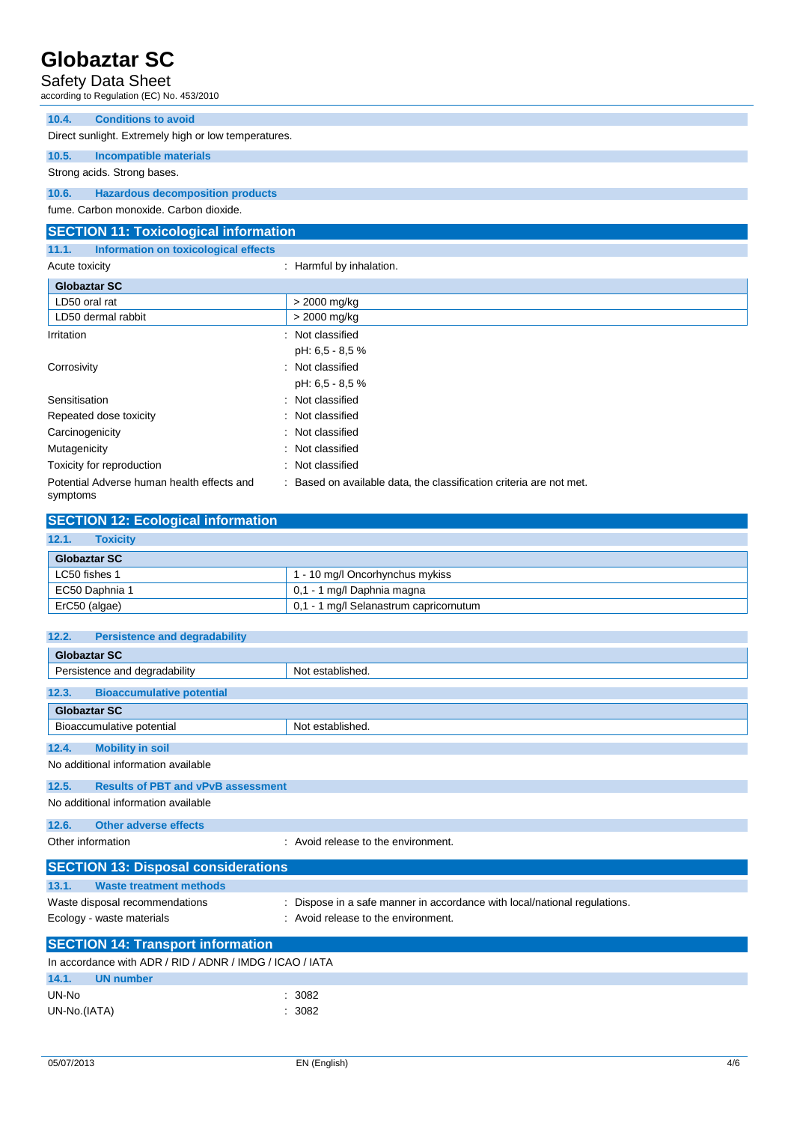### Safety Data Sheet

| Jaicly Dala Jilcel<br>according to Regulation (EC) No. 453/2010 |                                                                   |
|-----------------------------------------------------------------|-------------------------------------------------------------------|
| <b>Conditions to avoid</b><br>10.4.                             |                                                                   |
| Direct sunlight. Extremely high or low temperatures.            |                                                                   |
| 10.5.<br><b>Incompatible materials</b>                          |                                                                   |
| Strong acids. Strong bases.                                     |                                                                   |
| 10.6.<br><b>Hazardous decomposition products</b>                |                                                                   |
| fume. Carbon monoxide. Carbon dioxide.                          |                                                                   |
| <b>SECTION 11: Toxicological information</b>                    |                                                                   |
| 11.1.<br>Information on toxicological effects                   |                                                                   |
| Acute toxicity                                                  | Harmful by inhalation.                                            |
| <b>Globaztar SC</b>                                             |                                                                   |
| LD50 oral rat                                                   | > 2000 mg/kg                                                      |
| LD50 dermal rabbit                                              | > 2000 mg/kg                                                      |
| Irritation                                                      | Not classified                                                    |
|                                                                 | pH: 6,5 - 8,5 %                                                   |
| Corrosivity                                                     | Not classified                                                    |
|                                                                 | pH: 6,5 - 8,5 %                                                   |
| Sensitisation                                                   | Not classified                                                    |
| Repeated dose toxicity                                          | Not classified                                                    |
| Carcinogenicity                                                 | Not classified                                                    |
| Mutagenicity                                                    | Not classified                                                    |
| Toxicity for reproduction                                       | Not classified                                                    |
| Potential Adverse human health effects and<br>symptoms          | Based on available data, the classification criteria are not met. |
| <b>CONTRACTOR</b><br>----------                                 |                                                                   |

| <b>SECTION 12: Ecological information</b> |                                        |  |
|-------------------------------------------|----------------------------------------|--|
| 12.1.<br><b>Toxicity</b>                  |                                        |  |
| <b>Globaztar SC</b>                       |                                        |  |
| LC50 fishes 1                             | 1 - 10 mg/l Oncorhynchus mykiss        |  |
| EC50 Daphnia 1                            | 0,1 - 1 mg/l Daphnia magna             |  |
| ErC50 (algae)                             | 0.1 - 1 mg/l Selanastrum capricornutum |  |

| 12.2.<br><b>Persistence and degradability</b>            |                                                                         |  |
|----------------------------------------------------------|-------------------------------------------------------------------------|--|
| <b>Globaztar SC</b>                                      |                                                                         |  |
| Persistence and degradability                            | Not established.                                                        |  |
| <b>Bioaccumulative potential</b><br>12.3.                |                                                                         |  |
| <b>Globaztar SC</b>                                      |                                                                         |  |
| Bioaccumulative potential                                | Not established.                                                        |  |
| <b>Mobility in soil</b><br>12.4.                         |                                                                         |  |
| No additional information available                      |                                                                         |  |
| 12.5.<br><b>Results of PBT and vPvB assessment</b>       |                                                                         |  |
| No additional information available                      |                                                                         |  |
| Other adverse effects<br>12.6.                           |                                                                         |  |
| Other information                                        | : Avoid release to the environment.                                     |  |
| <b>SECTION 13: Disposal considerations</b>               |                                                                         |  |
| <b>Waste treatment methods</b><br>13.1.                  |                                                                         |  |
| Waste disposal recommendations                           | Dispose in a safe manner in accordance with local/national regulations. |  |
| Ecology - waste materials                                | Avoid release to the environment.                                       |  |
| <b>SECTION 14: Transport information</b>                 |                                                                         |  |
| In accordance with ADR / RID / ADNR / IMDG / ICAO / IATA |                                                                         |  |
| 14.1.<br><b>UN number</b>                                |                                                                         |  |
| UN-No                                                    | 3082<br>۰                                                               |  |
| UN-No.(IATA)                                             | 3082                                                                    |  |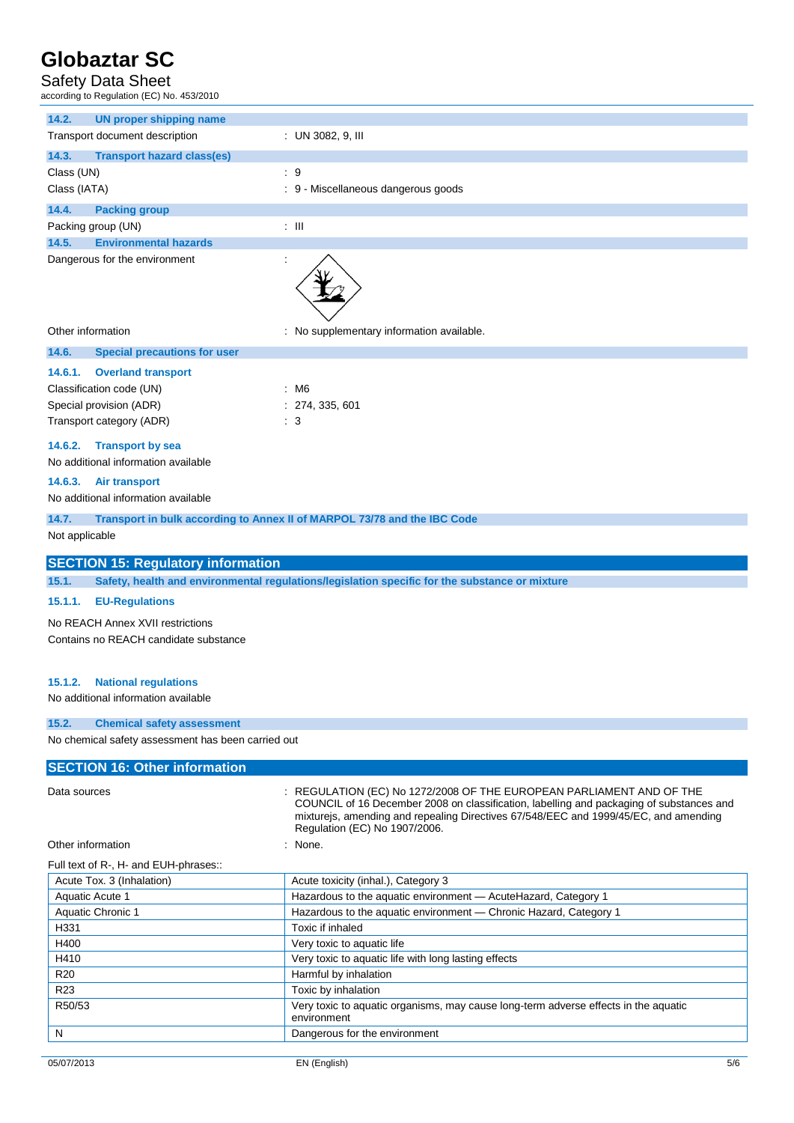### Safety Data Sheet

according to Regulation (EC) No. 453/2010

| ccording to Regulation (EC) No. 453/2010                                      |                                                                                                                                                                                                                                                                                           |
|-------------------------------------------------------------------------------|-------------------------------------------------------------------------------------------------------------------------------------------------------------------------------------------------------------------------------------------------------------------------------------------|
| 14.2.<br><b>UN proper shipping name</b>                                       |                                                                                                                                                                                                                                                                                           |
| Transport document description                                                | : UN 3082, 9, III                                                                                                                                                                                                                                                                         |
| 14.3.<br><b>Transport hazard class(es)</b>                                    |                                                                                                                                                                                                                                                                                           |
| Class (UN)                                                                    | $\therefore$ 9                                                                                                                                                                                                                                                                            |
| Class (IATA)                                                                  | : 9 - Miscellaneous dangerous goods                                                                                                                                                                                                                                                       |
| 14.4.<br><b>Packing group</b>                                                 |                                                                                                                                                                                                                                                                                           |
| Packing group (UN)                                                            | $\pm$ 111                                                                                                                                                                                                                                                                                 |
| <b>Environmental hazards</b><br>14.5.                                         |                                                                                                                                                                                                                                                                                           |
| Dangerous for the environment<br>÷                                            |                                                                                                                                                                                                                                                                                           |
| Other information                                                             | : No supplementary information available.                                                                                                                                                                                                                                                 |
| 14.6.<br><b>Special precautions for user</b>                                  |                                                                                                                                                                                                                                                                                           |
| 14.6.1.<br><b>Overland transport</b>                                          |                                                                                                                                                                                                                                                                                           |
| Classification code (UN)                                                      | : M6                                                                                                                                                                                                                                                                                      |
| Special provision (ADR)                                                       | : 274, 335, 601                                                                                                                                                                                                                                                                           |
| Transport category (ADR)                                                      | : 3                                                                                                                                                                                                                                                                                       |
| <b>Transport by sea</b><br>14.6.2.                                            |                                                                                                                                                                                                                                                                                           |
| No additional information available                                           |                                                                                                                                                                                                                                                                                           |
| 14.6.3.<br><b>Air transport</b>                                               |                                                                                                                                                                                                                                                                                           |
| No additional information available                                           |                                                                                                                                                                                                                                                                                           |
| 14.7.                                                                         | Transport in bulk according to Annex II of MARPOL 73/78 and the IBC Code                                                                                                                                                                                                                  |
| Not applicable                                                                |                                                                                                                                                                                                                                                                                           |
| <b>SECTION 15: Regulatory information</b>                                     |                                                                                                                                                                                                                                                                                           |
| 15.1.                                                                         | Safety, health and environmental regulations/legislation specific for the substance or mixture                                                                                                                                                                                            |
| 15.1.1.<br><b>EU-Regulations</b>                                              |                                                                                                                                                                                                                                                                                           |
| No REACH Annex XVII restrictions                                              |                                                                                                                                                                                                                                                                                           |
| Contains no REACH candidate substance                                         |                                                                                                                                                                                                                                                                                           |
|                                                                               |                                                                                                                                                                                                                                                                                           |
| 15.1.2.<br><b>National regulations</b><br>No additional information available |                                                                                                                                                                                                                                                                                           |
| 15.2.<br><b>Chemical safety assessment</b>                                    |                                                                                                                                                                                                                                                                                           |
| No chemical safety assessment has been carried out                            |                                                                                                                                                                                                                                                                                           |
|                                                                               |                                                                                                                                                                                                                                                                                           |
| <b>SECTION 16: Other information</b>                                          |                                                                                                                                                                                                                                                                                           |
| Data sources                                                                  | : REGULATION (EC) No 1272/2008 OF THE EUROPEAN PARLIAMENT AND OF THE<br>COUNCIL of 16 December 2008 on classification, labelling and packaging of substances and<br>mixtureis, amending and repealing Directives 67/548/EEC and 1999/45/EC, and amending<br>Regulation (EC) No 1907/2006. |
| Other information                                                             | None.                                                                                                                                                                                                                                                                                     |
| Full text of R-, H- and EUH-phrases::                                         |                                                                                                                                                                                                                                                                                           |
| Acute Tox. 3 (Inhalation)                                                     | Acute toxicity (inhal.), Category 3                                                                                                                                                                                                                                                       |
| Aquatic Acute 1                                                               | Hazardous to the aquatic environment - AcuteHazard, Category 1                                                                                                                                                                                                                            |

| ACTILE TOX. 5 (INTRODUCIT) | Active toxicity (initial.), Calegory 5                                                             |
|----------------------------|----------------------------------------------------------------------------------------------------|
| Aquatic Acute 1            | Hazardous to the aquatic environment - AcuteHazard, Category 1                                     |
| Aquatic Chronic 1          | Hazardous to the aquatic environment - Chronic Hazard, Category 1                                  |
| H331                       | Toxic if inhaled                                                                                   |
| H400                       | Very toxic to aquatic life                                                                         |
| H410                       | Very toxic to aquatic life with long lasting effects                                               |
| <b>R20</b>                 | Harmful by inhalation                                                                              |
| R <sub>23</sub>            | Toxic by inhalation                                                                                |
| R50/53                     | Very toxic to aquatic organisms, may cause long-term adverse effects in the aquatic<br>environment |
| N                          | Dangerous for the environment                                                                      |